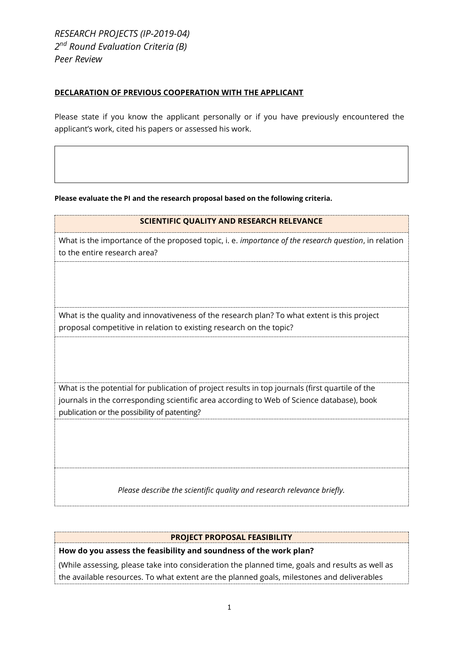*RESEARCH PROJECTS (IP-2019-04) 2 nd Round Evaluation Criteria (B) Peer Review*

publication or the possibility of patenting?

### **DECLARATION OF PREVIOUS COOPERATION WITH THE APPLICANT**

Please state if you know the applicant personally or if you have previously encountered the applicant's work, cited his papers or assessed his work.

**Please evaluate the PI and the research proposal based on the following criteria.**

| SCIENTIFIC QUALITY AND RESEARCH RELEVANCE                                                                                                                                                    |
|----------------------------------------------------------------------------------------------------------------------------------------------------------------------------------------------|
| What is the importance of the proposed topic, i. e. <i>importance of the research question</i> , in relation<br>to the entire research area?                                                 |
|                                                                                                                                                                                              |
| What is the quality and innovativeness of the research plan? To what extent is this project<br>proposal competitive in relation to existing research on the topic?                           |
|                                                                                                                                                                                              |
| What is the potential for publication of project results in top journals (first quartile of the<br>journals in the corresponding scientific area according to Web of Science database), book |

*Please describe the scientific quality and research relevance briefly.*

### **PROJECT PROPOSAL FEASIBILITY**

**How do you assess the feasibility and soundness of the work plan?**

(While assessing, please take into consideration the planned time, goals and results as well as the available resources. To what extent are the planned goals, milestones and deliverables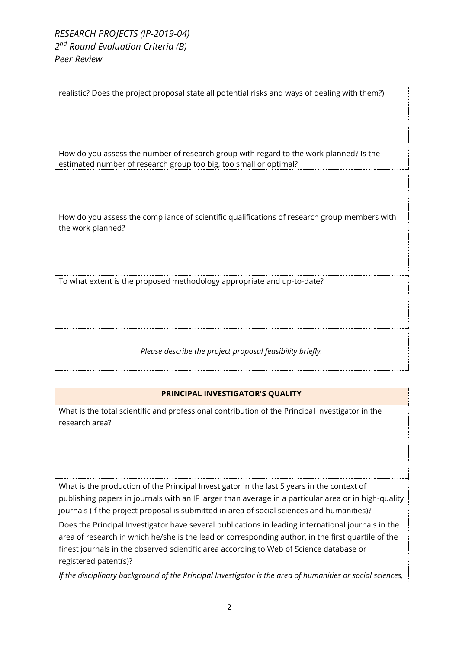## *RESEARCH PROJECTS (IP-2019-04) 2 nd Round Evaluation Criteria (B) Peer Review*

realistic? Does the project proposal state all potential risks and ways of dealing with them?) How do you assess the number of research group with regard to the work planned? Is the estimated number of research group too big, too small or optimal? How do you assess the compliance of scientific qualifications of research group members with the work planned? To what extent is the proposed methodology appropriate and up-to-date?

*Please describe the project proposal feasibility briefly.*

# **PRINCIPAL INVESTIGATOR'S QUALITY**

What is the total scientific and professional contribution of the Principal Investigator in the research area?

What is the production of the Principal Investigator in the last 5 years in the context of publishing papers in journals with an IF larger than average in a particular area or in high-quality journals (if the project proposal is submitted in area of social sciences and humanities)?

Does the Principal Investigator have several publications in leading international journals in the area of research in which he/she is the lead or corresponding author, in the first quartile of the finest journals in the observed scientific area according to Web of Science database or registered patent(s)?

*If the disciplinary background of the Principal Investigator is the area of humanities or social sciences,*